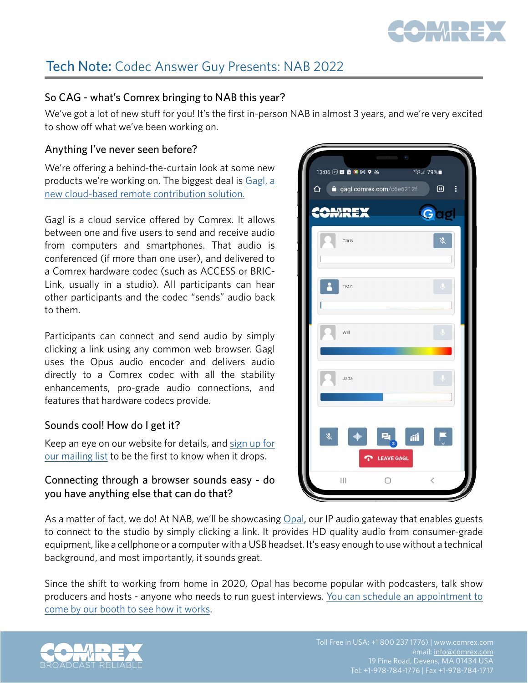

# Tech Note: Codec Answer Guy Presents: NAB 2022

## So CAG - what's Comrex bringing to NAB this year?

We've got a lot of new stuff for you! It's the first in-person NAB in almost 3 years, and we're very excited to show off what we've been working on.

### Anything I've never seen before?

We're offering a behind-the-curtain look at some new products we're working on. The biggest deal is [Gagl, a](https://mailchi.mp/49b8b94b6a97/gagl-updates)  [new cloud-based remote contribution solution.](https://mailchi.mp/49b8b94b6a97/gagl-updates)

Gagl is a cloud service offered by Comrex. It allows between one and five users to send and receive audio from computers and smartphones. That audio is conferenced (if more than one user), and delivered to a Comrex hardware codec (such as ACCESS or BRIC-Link, usually in a studio). All participants can hear other participants and the codec "sends" audio back to them.

Participants can connect and send audio by simply clicking a link using any common web browser. Gagl uses the Opus audio encoder and delivers audio directly to a Comrex codec with all the stability enhancements, pro-grade audio connections, and features that hardware codecs provide.

#### Sounds cool! How do I get it?

Keep an eye on our website for details, and [sign up for](https://mailchi.mp/49b8b94b6a97/gagl-updates)  [our mailing list](https://mailchi.mp/49b8b94b6a97/gagl-updates) to be the first to know when it drops.

## Connecting through a browser sounds easy - do you have anything else that can do that?

As a matter of fact, we do! At NAB, we'll be showcasing [Opal,](https://www.comrex.com/products/opal-audio-gateway/) our IP audio gateway that enables guests to connect to the studio by simply clicking a link. It provides HD quality audio from consumer-grade equipment, like a cellphone or a computer with a USB headset. It's easy enough to use without a technical background, and most importantly, it sounds great.

Since the shift to working from home in 2020, Opal has become popular with podcasters, talk show producers and hosts - anyone who needs to run guest interviews. [You can schedule an appointment to](https://calendly.com/comrex/comrex-nab-appointment?month=2022-04) [come by our booth to see how it works.](https://calendly.com/comrex/comrex-nab-appointment?month=2022-04)